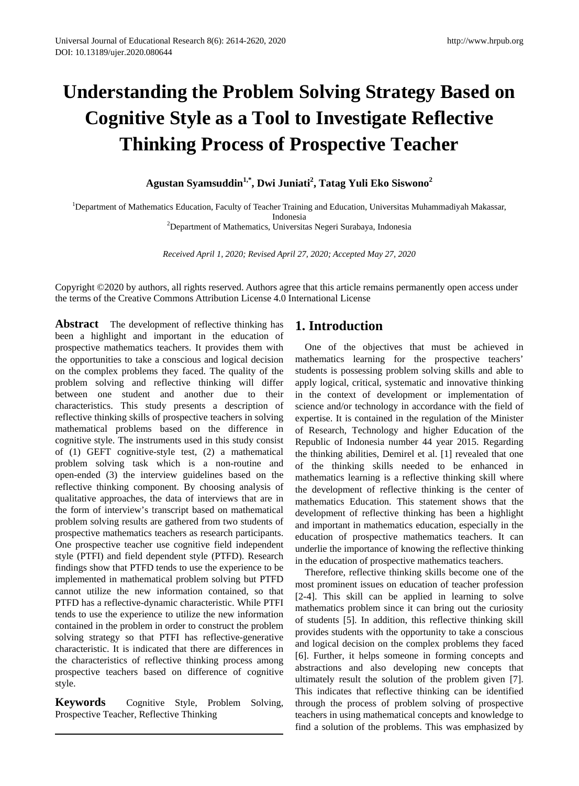# **Understanding the Problem Solving Strategy Based on Cognitive Style as a Tool to Investigate Reflective Thinking Process of Prospective Teacher**

# **Agustan Syamsuddin1,\*, Dwi Juniati2 , Tatag Yuli Eko Siswono<sup>2</sup>**

1 Department of Mathematics Education, Faculty of Teacher Training and Education, Universitas Muhammadiyah Makassar,

Indonesia 2 Department of Mathematics, Universitas Negeri Surabaya, Indonesia

*Received April 1, 2020; Revised April 27, 2020; Accepted May 27, 2020*

Copyright ©2020 by authors, all rights reserved. Authors agree that this article remains permanently open access under the terms of the Creative Commons Attribution License 4.0 International License

**Abstract** The development of reflective thinking has been a highlight and important in the education of prospective mathematics teachers. It provides them with the opportunities to take a conscious and logical decision on the complex problems they faced. The quality of the problem solving and reflective thinking will differ between one student and another due to their characteristics. This study presents a description of reflective thinking skills of prospective teachers in solving mathematical problems based on the difference in cognitive style. The instruments used in this study consist of (1) GEFT cognitive-style test, (2) a mathematical problem solving task which is a non-routine and open-ended (3) the interview guidelines based on the reflective thinking component. By choosing analysis of qualitative approaches, the data of interviews that are in the form of interview's transcript based on mathematical problem solving results are gathered from two students of prospective mathematics teachers as research participants. One prospective teacher use cognitive field independent style (PTFI) and field dependent style (PTFD). Research findings show that PTFD tends to use the experience to be implemented in mathematical problem solving but PTFD cannot utilize the new information contained, so that PTFD has a reflective-dynamic characteristic. While PTFI tends to use the experience to utilize the new information contained in the problem in order to construct the problem solving strategy so that PTFI has reflective-generative characteristic. It is indicated that there are differences in the characteristics of reflective thinking process among prospective teachers based on difference of cognitive style.

**Keywords** Cognitive Style, Problem Solving, Prospective Teacher, Reflective Thinking

# **1. Introduction**

One of the objectives that must be achieved in mathematics learning for the prospective teachers' students is possessing problem solving skills and able to apply logical, critical, systematic and innovative thinking in the context of development or implementation of science and/or technology in accordance with the field of expertise. It is contained in the regulation of the Minister of Research, Technology and higher Education of the Republic of Indonesia number 44 year 2015. Regarding the thinking abilities, Demirel et al. [1] revealed that one of the thinking skills needed to be enhanced in mathematics learning is a reflective thinking skill where the development of reflective thinking is the center of mathematics Education. This statement shows that the development of reflective thinking has been a highlight and important in mathematics education, especially in the education of prospective mathematics teachers. It can underlie the importance of knowing the reflective thinking in the education of prospective mathematics teachers.

Therefore, reflective thinking skills become one of the most prominent issues on education of teacher profession [2-4]. This skill can be applied in learning to solve mathematics problem since it can bring out the curiosity of students [5]. In addition, this reflective thinking skill provides students with the opportunity to take a conscious and logical decision on the complex problems they faced [6]. Further, it helps someone in forming concepts and abstractions and also developing new concepts that ultimately result the solution of the problem given [7]. This indicates that reflective thinking can be identified through the process of problem solving of prospective teachers in using mathematical concepts and knowledge to find a solution of the problems. This was emphasized by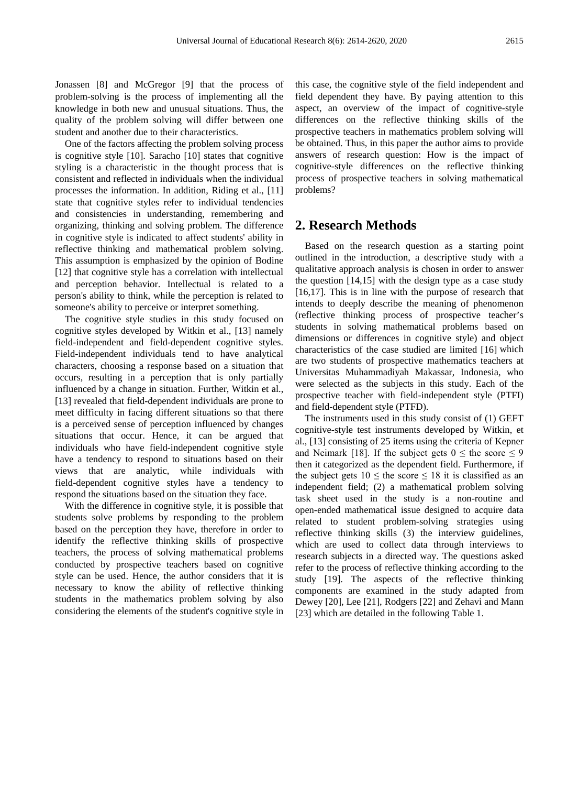Jonassen [8] and McGregor [9] that the process of problem-solving is the process of implementing all the knowledge in both new and unusual situations. Thus, the quality of the problem solving will differ between one student and another due to their characteristics.

One of the factors affecting the problem solving process is cognitive style [10]. Saracho [10] states that cognitive styling is a characteristic in the thought process that is consistent and reflected in individuals when the individual processes the information. In addition, Riding et al., [11] state that cognitive styles refer to individual tendencies and consistencies in understanding, remembering and organizing, thinking and solving problem. The difference in cognitive style is indicated to affect students' ability in reflective thinking and mathematical problem solving. This assumption is emphasized by the opinion of Bodine [12] that cognitive style has a correlation with intellectual and perception behavior. Intellectual is related to a person's ability to think, while the perception is related to someone's ability to perceive or interpret something.

The cognitive style studies in this study focused on cognitive styles developed by Witkin et al., [13] namely field-independent and field-dependent cognitive styles. Field-independent individuals tend to have analytical characters, choosing a response based on a situation that occurs, resulting in a perception that is only partially influenced by a change in situation. Further, Witkin et al., [13] revealed that field-dependent individuals are prone to meet difficulty in facing different situations so that there is a perceived sense of perception influenced by changes situations that occur. Hence, it can be argued that individuals who have field-independent cognitive style have a tendency to respond to situations based on their views that are analytic, while individuals with field-dependent cognitive styles have a tendency to respond the situations based on the situation they face.

With the difference in cognitive style, it is possible that students solve problems by responding to the problem based on the perception they have, therefore in order to identify the reflective thinking skills of prospective teachers, the process of solving mathematical problems conducted by prospective teachers based on cognitive style can be used. Hence, the author considers that it is necessary to know the ability of reflective thinking students in the mathematics problem solving by also considering the elements of the student's cognitive style in

this case, the cognitive style of the field independent and field dependent they have. By paying attention to this aspect, an overview of the impact of cognitive-style differences on the reflective thinking skills of the prospective teachers in mathematics problem solving will be obtained. Thus, in this paper the author aims to provide answers of research question: How is the impact of cognitive-style differences on the reflective thinking process of prospective teachers in solving mathematical problems?

## **2. Research Methods**

Based on the research question as a starting point outlined in the introduction, a descriptive study with a qualitative approach analysis is chosen in order to answer the question [14,15] with the design type as a case study [16,17]. This is in line with the purpose of research that intends to deeply describe the meaning of phenomenon (reflective thinking process of prospective teacher's students in solving mathematical problems based on dimensions or differences in cognitive style) and object characteristics of the case studied are limited [16] which are two students of prospective mathematics teachers at Universitas Muhammadiyah Makassar, Indonesia, who were selected as the subjects in this study. Each of the prospective teacher with field-independent style (PTFI) and field-dependent style (PTFD).

The instruments used in this study consist of (1) GEFT cognitive-style test instruments developed by Witkin, et al., [13] consisting of 25 items using the criteria of Kepner and Neimark [18]. If the subject gets  $0 \leq$  the score  $\leq 9$ then it categorized as the dependent field. Furthermore, if the subject gets  $10 \leq$  the score  $\leq 18$  it is classified as an independent field; (2) a mathematical problem solving task sheet used in the study is a non-routine and open-ended mathematical issue designed to acquire data related to student problem-solving strategies using reflective thinking skills (3) the interview guidelines, which are used to collect data through interviews to research subjects in a directed way. The questions asked refer to the process of reflective thinking according to the study [19]. The aspects of the reflective thinking components are examined in the study adapted from Dewey [20], Lee [21], Rodgers [22] and Zehavi and Mann [23] which are detailed in the following Table 1.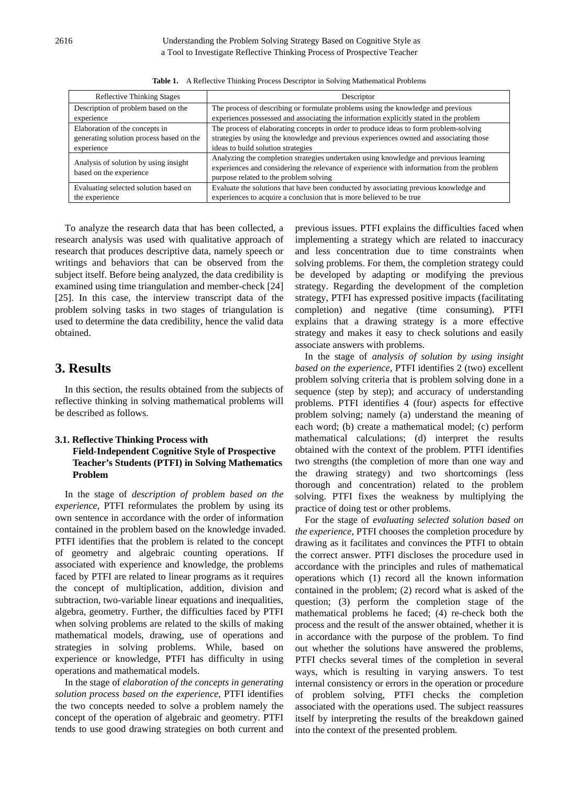| <b>Reflective Thinking Stages</b>                                | Descriptor                                                                                                                                                                                                                  |
|------------------------------------------------------------------|-----------------------------------------------------------------------------------------------------------------------------------------------------------------------------------------------------------------------------|
| Description of problem based on the                              | The process of describing or formulate problems using the knowledge and previous                                                                                                                                            |
| experience                                                       | experiences possessed and associating the information explicitly stated in the problem                                                                                                                                      |
| Elaboration of the concepts in                                   | The process of elaborating concepts in order to produce ideas to form problem-solving                                                                                                                                       |
| generating solution process based on the                         | strategies by using the knowledge and previous experiences owned and associating those                                                                                                                                      |
| experience                                                       | ideas to build solution strategies                                                                                                                                                                                          |
| Analysis of solution by using insight<br>based on the experience | Analyzing the completion strategies undertaken using knowledge and previous learning<br>experiences and considering the relevance of experience with information from the problem<br>purpose related to the problem solving |
| Evaluating selected solution based on                            | Evaluate the solutions that have been conducted by associating previous knowledge and                                                                                                                                       |
| the experience                                                   | experiences to acquire a conclusion that is more believed to be true                                                                                                                                                        |

**Table 1.** A Reflective Thinking Process Descriptor in Solving Mathematical Problems

To analyze the research data that has been collected, a research analysis was used with qualitative approach of research that produces descriptive data, namely speech or writings and behaviors that can be observed from the subject itself. Before being analyzed, the data credibility is examined using time triangulation and member-check [24] [25]. In this case, the interview transcript data of the problem solving tasks in two stages of triangulation is used to determine the data credibility, hence the valid data obtained.

## **3. Results**

In this section, the results obtained from the subjects of reflective thinking in solving mathematical problems will be described as follows.

#### **3.1. Reflective Thinking Process with Field-Independent Cognitive Style of Prospective Teacher's Students (PTFI) in Solving Mathematics Problem**

In the stage of *description of problem based on the experience*, PTFI reformulates the problem by using its own sentence in accordance with the order of information contained in the problem based on the knowledge invaded. PTFI identifies that the problem is related to the concept of geometry and algebraic counting operations. If associated with experience and knowledge, the problems faced by PTFI are related to linear programs as it requires the concept of multiplication, addition, division and subtraction, two-variable linear equations and inequalities, algebra, geometry. Further, the difficulties faced by PTFI when solving problems are related to the skills of making mathematical models, drawing, use of operations and strategies in solving problems. While, based on experience or knowledge, PTFI has difficulty in using operations and mathematical models.

In the stage of *elaboration of the concepts in generating solution process based on the experience*, PTFI identifies the two concepts needed to solve a problem namely the concept of the operation of algebraic and geometry. PTFI tends to use good drawing strategies on both current and

previous issues. PTFI explains the difficulties faced when implementing a strategy which are related to inaccuracy and less concentration due to time constraints when solving problems. For them, the completion strategy could be developed by adapting or modifying the previous strategy. Regarding the development of the completion strategy, PTFI has expressed positive impacts (facilitating completion) and negative (time consuming). PTFI explains that a drawing strategy is a more effective strategy and makes it easy to check solutions and easily associate answers with problems.

In the stage of *analysis of solution by using insight based on the experience*, PTFI identifies 2 (two) excellent problem solving criteria that is problem solving done in a sequence (step by step); and accuracy of understanding problems. PTFI identifies 4 (four) aspects for effective problem solving; namely (a) understand the meaning of each word; (b) create a mathematical model; (c) perform mathematical calculations; (d) interpret the results obtained with the context of the problem. PTFI identifies two strengths (the completion of more than one way and the drawing strategy) and two shortcomings (less thorough and concentration) related to the problem solving. PTFI fixes the weakness by multiplying the practice of doing test or other problems.

For the stage of *evaluating selected solution based on the experience*, PTFI chooses the completion procedure by drawing as it facilitates and convinces the PTFI to obtain the correct answer. PTFI discloses the procedure used in accordance with the principles and rules of mathematical operations which (1) record all the known information contained in the problem; (2) record what is asked of the question; (3) perform the completion stage of the mathematical problems he faced; (4) re-check both the process and the result of the answer obtained, whether it is in accordance with the purpose of the problem. To find out whether the solutions have answered the problems, PTFI checks several times of the completion in several ways, which is resulting in varying answers. To test internal consistency or errors in the operation or procedure of problem solving, PTFI checks the completion associated with the operations used. The subject reassures itself by interpreting the results of the breakdown gained into the context of the presented problem.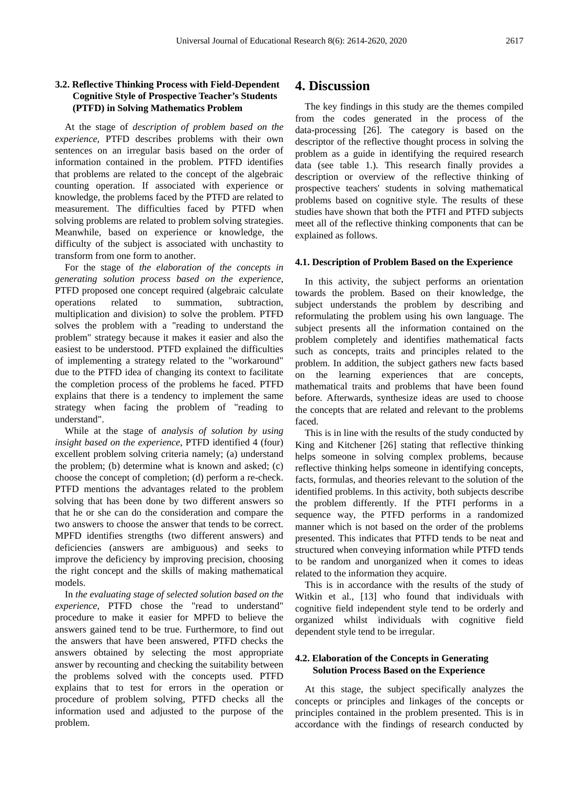#### **3.2. Reflective Thinking Process with Field-Dependent Cognitive Style of Prospective Teacher's Students (PTFD) in Solving Mathematics Problem**

At the stage of *description of problem based on the experience*, PTFD describes problems with their own sentences on an irregular basis based on the order of information contained in the problem. PTFD identifies that problems are related to the concept of the algebraic counting operation. If associated with experience or knowledge, the problems faced by the PTFD are related to measurement. The difficulties faced by PTFD when solving problems are related to problem solving strategies. Meanwhile, based on experience or knowledge, the difficulty of the subject is associated with unchastity to transform from one form to another.

For the stage of *the elaboration of the concepts in generating solution process based on the experience*, PTFD proposed one concept required (algebraic calculate operations related to summation, subtraction, multiplication and division) to solve the problem. PTFD solves the problem with a "reading to understand the problem" strategy because it makes it easier and also the easiest to be understood. PTFD explained the difficulties of implementing a strategy related to the "workaround" due to the PTFD idea of changing its context to facilitate the completion process of the problems he faced. PTFD explains that there is a tendency to implement the same strategy when facing the problem of "reading to understand".

While at the stage of *analysis of solution by using insight based on the experience*, PTFD identified 4 (four) excellent problem solving criteria namely; (a) understand the problem; (b) determine what is known and asked; (c) choose the concept of completion; (d) perform a re-check. PTFD mentions the advantages related to the problem solving that has been done by two different answers so that he or she can do the consideration and compare the two answers to choose the answer that tends to be correct. MPFD identifies strengths (two different answers) and deficiencies (answers are ambiguous) and seeks to improve the deficiency by improving precision, choosing the right concept and the skills of making mathematical models.

In *the evaluating stage of selected solution based on the experience*, PTFD chose the "read to understand" procedure to make it easier for MPFD to believe the answers gained tend to be true. Furthermore, to find out the answers that have been answered, PTFD checks the answers obtained by selecting the most appropriate answer by recounting and checking the suitability between the problems solved with the concepts used. PTFD explains that to test for errors in the operation or procedure of problem solving, PTFD checks all the information used and adjusted to the purpose of the problem.

## **4. Discussion**

The key findings in this study are the themes compiled from the codes generated in the process of the data-processing [26]. The category is based on the descriptor of the reflective thought process in solving the problem as a guide in identifying the required research data (see table 1.). This research finally provides a description or overview of the reflective thinking of prospective teachers' students in solving mathematical problems based on cognitive style. The results of these studies have shown that both the PTFI and PTFD subjects meet all of the reflective thinking components that can be explained as follows.

## **4.1. Description of Problem Based on the Experience**

In this activity, the subject performs an orientation towards the problem. Based on their knowledge, the subject understands the problem by describing and reformulating the problem using his own language. The subject presents all the information contained on the problem completely and identifies mathematical facts such as concepts, traits and principles related to the problem. In addition, the subject gathers new facts based on the learning experiences that are concepts, mathematical traits and problems that have been found before. Afterwards, synthesize ideas are used to choose the concepts that are related and relevant to the problems faced.

This is in line with the results of the study conducted by King and Kitchener [26] stating that reflective thinking helps someone in solving complex problems, because reflective thinking helps someone in identifying concepts, facts, formulas, and theories relevant to the solution of the identified problems. In this activity, both subjects describe the problem differently. If the PTFI performs in a sequence way, the PTFD performs in a randomized manner which is not based on the order of the problems presented. This indicates that PTFD tends to be neat and structured when conveying information while PTFD tends to be random and unorganized when it comes to ideas related to the information they acquire.

This is in accordance with the results of the study of Witkin et al., [13] who found that individuals with cognitive field independent style tend to be orderly and organized whilst individuals with cognitive field dependent style tend to be irregular.

#### **4.2. Elaboration of the Concepts in Generating Solution Process Based on the Experience**

At this stage, the subject specifically analyzes the concepts or principles and linkages of the concepts or principles contained in the problem presented. This is in accordance with the findings of research conducted by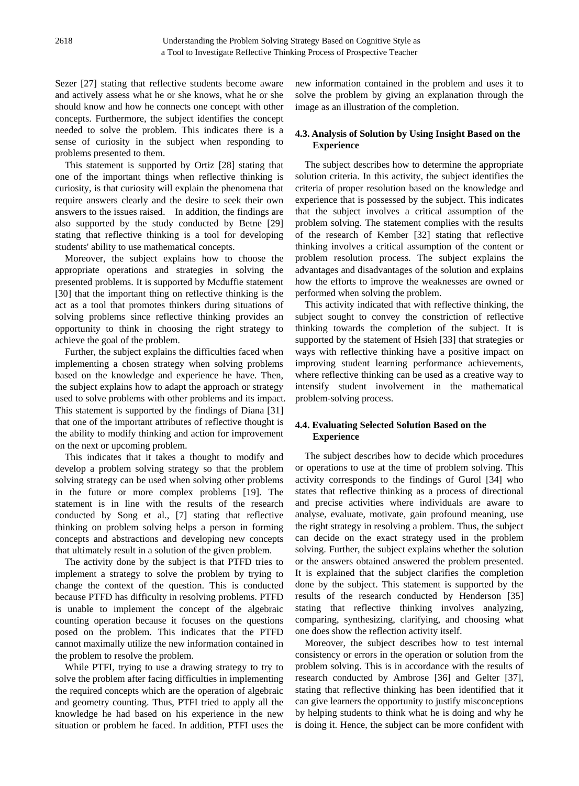Sezer [27] stating that reflective students become aware and actively assess what he or she knows, what he or she should know and how he connects one concept with other concepts. Furthermore, the subject identifies the concept needed to solve the problem. This indicates there is a sense of curiosity in the subject when responding to problems presented to them.

This statement is supported by Ortiz [28] stating that one of the important things when reflective thinking is curiosity, is that curiosity will explain the phenomena that require answers clearly and the desire to seek their own answers to the issues raised. In addition, the findings are also supported by the study conducted by Betne [29] stating that reflective thinking is a tool for developing students' ability to use mathematical concepts.

Moreover, the subject explains how to choose the appropriate operations and strategies in solving the presented problems. It is supported by Mcduffie statement [30] that the important thing on reflective thinking is the act as a tool that promotes thinkers during situations of solving problems since reflective thinking provides an opportunity to think in choosing the right strategy to achieve the goal of the problem.

Further, the subject explains the difficulties faced when implementing a chosen strategy when solving problems based on the knowledge and experience he have. Then, the subject explains how to adapt the approach or strategy used to solve problems with other problems and its impact. This statement is supported by the findings of Diana [31] that one of the important attributes of reflective thought is the ability to modify thinking and action for improvement on the next or upcoming problem.

This indicates that it takes a thought to modify and develop a problem solving strategy so that the problem solving strategy can be used when solving other problems in the future or more complex problems [19]. The statement is in line with the results of the research conducted by Song et al., [7] stating that reflective thinking on problem solving helps a person in forming concepts and abstractions and developing new concepts that ultimately result in a solution of the given problem.

The activity done by the subject is that PTFD tries to implement a strategy to solve the problem by trying to change the context of the question. This is conducted because PTFD has difficulty in resolving problems. PTFD is unable to implement the concept of the algebraic counting operation because it focuses on the questions posed on the problem. This indicates that the PTFD cannot maximally utilize the new information contained in the problem to resolve the problem.

While PTFI, trying to use a drawing strategy to try to solve the problem after facing difficulties in implementing the required concepts which are the operation of algebraic and geometry counting. Thus, PTFI tried to apply all the knowledge he had based on his experience in the new situation or problem he faced. In addition, PTFI uses the new information contained in the problem and uses it to solve the problem by giving an explanation through the image as an illustration of the completion.

## **4.3. Analysis of Solution by Using Insight Based on the Experience**

The subject describes how to determine the appropriate solution criteria. In this activity, the subject identifies the criteria of proper resolution based on the knowledge and experience that is possessed by the subject. This indicates that the subject involves a critical assumption of the problem solving. The statement complies with the results of the research of Kember [32] stating that reflective thinking involves a critical assumption of the content or problem resolution process. The subject explains the advantages and disadvantages of the solution and explains how the efforts to improve the weaknesses are owned or performed when solving the problem.

This activity indicated that with reflective thinking, the subject sought to convey the constriction of reflective thinking towards the completion of the subject. It is supported by the statement of Hsieh [33] that strategies or ways with reflective thinking have a positive impact on improving student learning performance achievements, where reflective thinking can be used as a creative way to intensify student involvement in the mathematical problem-solving process.

#### **4.4. Evaluating Selected Solution Based on the Experience**

The subject describes how to decide which procedures or operations to use at the time of problem solving. This activity corresponds to the findings of Gurol [34] who states that reflective thinking as a process of directional and precise activities where individuals are aware to analyse, evaluate, motivate, gain profound meaning, use the right strategy in resolving a problem. Thus, the subject can decide on the exact strategy used in the problem solving. Further, the subject explains whether the solution or the answers obtained answered the problem presented. It is explained that the subject clarifies the completion done by the subject. This statement is supported by the results of the research conducted by Henderson [35] stating that reflective thinking involves analyzing, comparing, synthesizing, clarifying, and choosing what one does show the reflection activity itself.

Moreover, the subject describes how to test internal consistency or errors in the operation or solution from the problem solving. This is in accordance with the results of research conducted by Ambrose [36] and Gelter [37], stating that reflective thinking has been identified that it can give learners the opportunity to justify misconceptions by helping students to think what he is doing and why he is doing it. Hence, the subject can be more confident with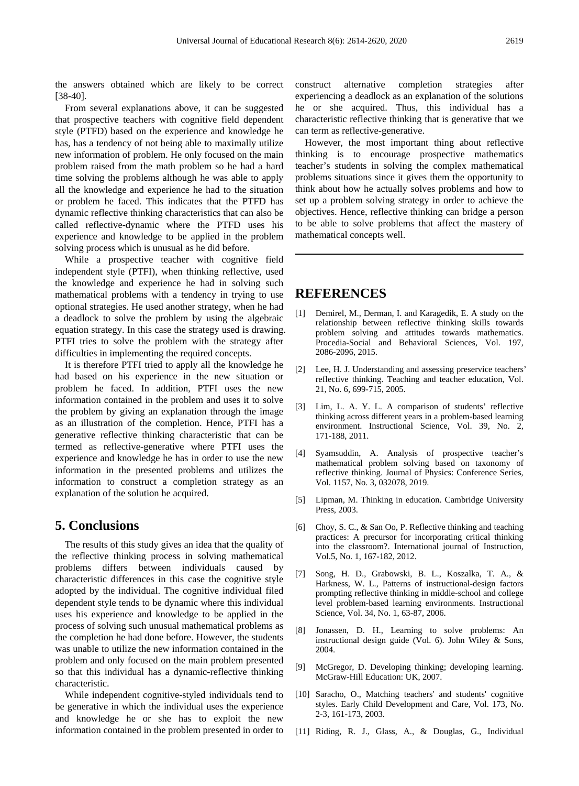the answers obtained which are likely to be correct [38-40].

From several explanations above, it can be suggested that prospective teachers with cognitive field dependent style (PTFD) based on the experience and knowledge he has, has a tendency of not being able to maximally utilize new information of problem. He only focused on the main problem raised from the math problem so he had a hard time solving the problems although he was able to apply all the knowledge and experience he had to the situation or problem he faced. This indicates that the PTFD has dynamic reflective thinking characteristics that can also be called reflective-dynamic where the PTFD uses his experience and knowledge to be applied in the problem solving process which is unusual as he did before.

While a prospective teacher with cognitive field independent style (PTFI), when thinking reflective, used the knowledge and experience he had in solving such mathematical problems with a tendency in trying to use optional strategies. He used another strategy, when he had a deadlock to solve the problem by using the algebraic equation strategy. In this case the strategy used is drawing. PTFI tries to solve the problem with the strategy after difficulties in implementing the required concepts.

It is therefore PTFI tried to apply all the knowledge he had based on his experience in the new situation or problem he faced. In addition, PTFI uses the new information contained in the problem and uses it to solve the problem by giving an explanation through the image as an illustration of the completion. Hence, PTFI has a generative reflective thinking characteristic that can be termed as reflective-generative where PTFI uses the experience and knowledge he has in order to use the new information in the presented problems and utilizes the information to construct a completion strategy as an explanation of the solution he acquired.

## **5. Conclusions**

The results of this study gives an idea that the quality of the reflective thinking process in solving mathematical problems differs between individuals caused by characteristic differences in this case the cognitive style adopted by the individual. The cognitive individual filed dependent style tends to be dynamic where this individual uses his experience and knowledge to be applied in the process of solving such unusual mathematical problems as the completion he had done before. However, the students was unable to utilize the new information contained in the problem and only focused on the main problem presented so that this individual has a dynamic-reflective thinking characteristic.

While independent cognitive-styled individuals tend to be generative in which the individual uses the experience and knowledge he or she has to exploit the new information contained in the problem presented in order to

construct alternative completion strategies after experiencing a deadlock as an explanation of the solutions he or she acquired. Thus, this individual has a characteristic reflective thinking that is generative that we can term as reflective-generative.

However, the most important thing about reflective thinking is to encourage prospective mathematics teacher's students in solving the complex mathematical problems situations since it gives them the opportunity to think about how he actually solves problems and how to set up a problem solving strategy in order to achieve the objectives. Hence, reflective thinking can bridge a person to be able to solve problems that affect the mastery of mathematical concepts well.

## **REFERENCES**

- [1] Demirel, M., Derman, I. and Karagedik, E. A study on the relationship between reflective thinking skills towards problem solving and attitudes towards mathematics. Procedia-Social and Behavioral Sciences, Vol. 197, 2086-2096, 2015.
- [2] Lee, H. J. Understanding and assessing preservice teachers' reflective thinking. Teaching and teacher education, Vol. 21, No. 6, 699-715, 2005.
- [3] Lim, L. A. Y. L. A comparison of students' reflective thinking across different years in a problem-based learning environment. Instructional Science, Vol. 39, No. 2, 171-188, 2011.
- [4] Syamsuddin, A. Analysis of prospective teacher's mathematical problem solving based on taxonomy of reflective thinking. Journal of Physics: Conference Series, Vol. 1157, No. 3, 032078, 2019.
- [5] Lipman, M. Thinking in education. Cambridge University Press, 2003.
- [6] Choy, S. C., & San Oo, P. Reflective thinking and teaching practices: A precursor for incorporating critical thinking into the classroom?. International journal of Instruction, Vol.5, No. 1, 167-182, 2012.
- [7] Song, H. D., Grabowski, B. L., Koszalka, T. A., & Harkness, W. L., Patterns of instructional-design factors prompting reflective thinking in middle-school and college level problem-based learning environments. Instructional Science, Vol. 34, No. 1, 63-87, 2006.
- [8] Jonassen, D. H., Learning to solve problems: An instructional design guide (Vol. 6). John Wiley & Sons, 2004.
- [9] McGregor, D. Developing thinking; developing learning. McGraw-Hill Education: UK, 2007.
- [10] Saracho, O., Matching teachers' and students' cognitive styles. Early Child Development and Care, Vol. 173, No. 2-3, 161-173, 2003.
- [11] Riding, R. J., Glass, A., & Douglas, G., Individual